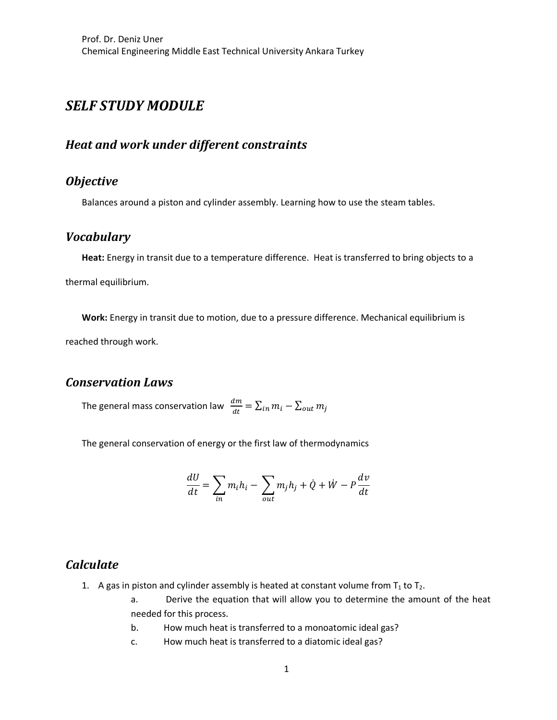# *SELF STUDY MODULE*

## *Heat and work under different constraints*

## *Objective*

Balances around a piston and cylinder assembly. Learning how to use the steam tables.

### *Vocabulary*

**Heat:** Energy in transit due to a temperature difference. Heat is transferred to bring objects to a thermal equilibrium.

**Work:** Energy in transit due to motion, due to a pressure difference. Mechanical equilibrium is

reached through work.

### *Conservation Laws*

The general mass conservation law  $\;\frac{dm}{dt}=\sum_{in}m_i-\sum_{out}m_j$ 

The general conservation of energy or the first law of thermodynamics

$$
\frac{dU}{dt} = \sum_{in} m_i h_i - \sum_{out} m_j h_j + \dot{Q} + \dot{W} - P\frac{dv}{dt}
$$

#### *Calculate*

- 1. A gas in piston and cylinder assembly is heated at constant volume from  $T_1$  to  $T_2$ .
	- a. Derive the equation that will allow you to determine the amount of the heat needed for this process.
	- b. How much heat is transferred to a monoatomic ideal gas?
	- c. How much heat is transferred to a diatomic ideal gas?